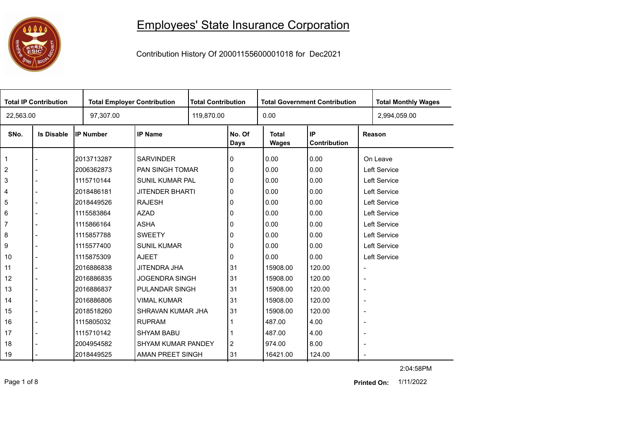

## Employees' State Insurance Corporation

Contribution History Of 20001155600001018 for Dec2021

| <b>Total IP Contribution</b> |                   |                  | <b>Total Employer Contribution</b> |  | <b>Total Contribution</b><br><b>Total Government Contribution</b> |                       |                    |                          | <b>Total Monthly Wages</b> |
|------------------------------|-------------------|------------------|------------------------------------|--|-------------------------------------------------------------------|-----------------------|--------------------|--------------------------|----------------------------|
| 22,563.00                    |                   | 97,307.00        |                                    |  |                                                                   | 0.00                  |                    |                          | 2,994,059.00               |
| SNo.                         | <b>Is Disable</b> | <b>IP Number</b> | <b>IP Name</b>                     |  | No. Of<br>Days                                                    | <b>Total</b><br>Wages | IP<br>Contribution |                          | Reason                     |
| $\mathbf{1}$                 |                   | 2013713287       | <b>SARVINDER</b>                   |  | 0                                                                 | 0.00                  | 0.00               |                          | On Leave                   |
| $\overline{2}$               |                   | 2006362873       | <b>PAN SINGH TOMAR</b>             |  | 0                                                                 | 0.00                  | 0.00               |                          | Left Service               |
| 3                            |                   | 1115710144       | SUNIL KUMAR PAL                    |  | 0                                                                 | 0.00                  | 0.00               |                          | Left Service               |
| 4                            |                   | 2018486181       | <b>JITENDER BHARTI</b>             |  | 0                                                                 | 0.00                  | 0.00               |                          | Left Service               |
| 5                            |                   | 2018449526       | <b>RAJESH</b>                      |  | 0                                                                 | 0.00                  | 0.00               |                          | Left Service               |
| 6                            |                   | 1115583864       | <b>AZAD</b>                        |  | 0                                                                 | 0.00                  | 0.00               |                          | Left Service               |
| $\overline{7}$               |                   | 1115866164       | <b>ASHA</b>                        |  | 0                                                                 | 0.00                  | 0.00               |                          | Left Service               |
| 8                            |                   | 1115857788       | <b>SWEETY</b>                      |  | 0                                                                 | 0.00                  | 0.00               |                          | Left Service               |
| 9                            |                   | 1115577400       | <b>SUNIL KUMAR</b>                 |  | 0                                                                 | 0.00                  | 0.00               |                          | Left Service               |
| 10                           |                   | 1115875309       | <b>AJEET</b>                       |  | 0                                                                 | 0.00                  | 0.00               |                          | Left Service               |
| 11                           |                   | 2016886838       | JITENDRA JHA                       |  | 31                                                                | 15908.00              | 120.00             | $\overline{\phantom{a}}$ |                            |
| 12                           |                   | 2016886835       | <b>JOGENDRA SINGH</b>              |  | 31                                                                | 15908.00              | 120.00             | $\overline{\phantom{a}}$ |                            |
| 13                           |                   | 2016886837       | <b>PULANDAR SINGH</b>              |  | 31                                                                | 15908.00              | 120.00             | $\overline{\phantom{a}}$ |                            |
| 14                           |                   | l2016886806      | <b>VIMAL KUMAR</b>                 |  | 31                                                                | 15908.00              | 120.00             | $\overline{\phantom{a}}$ |                            |
| 15                           |                   | 2018518260       | SHRAVAN KUMAR JHA                  |  | 31                                                                | 15908.00              | 120.00             | $\overline{\phantom{a}}$ |                            |
| 16                           |                   | 1115805032       | <b>RUPRAM</b>                      |  |                                                                   | 487.00                | 4.00               | $\overline{\phantom{a}}$ |                            |
| 17                           |                   | 1115710142       | <b>SHYAM BABU</b>                  |  |                                                                   | 487.00                | 4.00               | $\blacksquare$           |                            |
| 18                           |                   | 2004954582       | <b>SHYAM KUMAR PANDEY</b>          |  | $\overline{2}$                                                    | 974.00                | 8.00               | $\overline{\phantom{a}}$ |                            |
| 19                           |                   | l2018449525      | AMAN PREET SINGH                   |  | 31                                                                | 16421.00              | 124.00             | $\blacksquare$           |                            |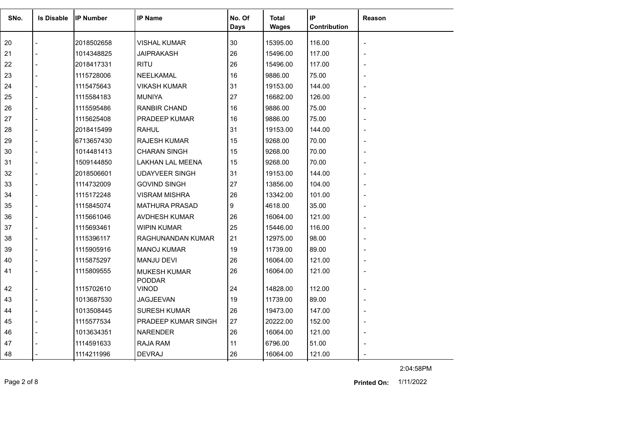| SNo. | <b>Is Disable</b> | <b>IP Number</b> | <b>IP Name</b>                       | No. Of<br>Days | Total<br><b>Wages</b> | IP<br>Contribution | <b>Reason</b> |
|------|-------------------|------------------|--------------------------------------|----------------|-----------------------|--------------------|---------------|
| 20   |                   | 2018502658       | VISHAL KUMAR                         | 30             | 15395.00              | 116.00             |               |
| 21   |                   | 1014348825       | JAIPRAKASH                           | 26             | 15496.00              | 117.00             |               |
| 22   |                   | 2018417331       | <b>RITU</b>                          | 26             | 15496.00              | 117.00             |               |
| 23   |                   | 1115728006       | NEELKAMAL                            | 16             | 9886.00               | 75.00              |               |
| 24   |                   | 1115475643       | <b>VIKASH KUMAR</b>                  | 31             | 19153.00              | 144.00             |               |
| 25   |                   | 1115584183       | <b>MUNIYA</b>                        | 27             | 16682.00              | 126.00             |               |
| 26   |                   | 1115595486       | RANBIR CHAND                         | 16             | 9886.00               | 75.00              |               |
| 27   |                   | 1115625408       | <b>PRADEEP KUMAR</b>                 | 16             | 9886.00               | 75.00              |               |
| 28   |                   | 2018415499       | <b>RAHUL</b>                         | 31             | 19153.00              | 144.00             |               |
| 29   |                   | 6713657430       | <b>RAJESH KUMAR</b>                  | 15             | 9268.00               | 70.00              |               |
| 30   |                   | 1014481413       | <b>CHARAN SINGH</b>                  | 15             | 9268.00               | 70.00              |               |
| 31   |                   | 1509144850       | <b>LAKHAN LAL MEENA</b>              | 15             | 9268.00               | 70.00              |               |
| 32   |                   | 2018506601       | <b>UDAYVEER SINGH</b>                | 31             | 19153.00              | 144.00             |               |
| 33   |                   | 1114732009       | <b>GOVIND SINGH</b>                  | 27             | 13856.00              | 104.00             |               |
| 34   |                   | 1115172248       | <b>VISRAM MISHRA</b>                 | 26             | 13342.00              | 101.00             |               |
| 35   |                   | 1115845074       | <b>MATHURA PRASAD</b>                | 9              | 4618.00               | 35.00              |               |
| 36   |                   | 1115661046       | AVDHESH KUMAR                        | 26             | 16064.00              | 121.00             |               |
| 37   |                   | 1115693461       | <b>WIPIN KUMAR</b>                   | 25             | 15446.00              | 116.00             |               |
| 38   |                   | 1115396117       | RAGHUNANDAN KUMAR                    | 21             | 12975.00              | 98.00              |               |
| 39   |                   | 1115905916       | <b>MANOJ KUMAR</b>                   | 19             | 11739.00              | 89.00              |               |
| 40   |                   | 1115875297       | <b>MANJU DEVI</b>                    | 26             | 16064.00              | 121.00             |               |
| 41   |                   | 1115809555       | <b>MUKESH KUMAR</b><br><b>PODDAR</b> | 26             | 16064.00              | 121.00             |               |
| 42   |                   | 1115702610       | <b>VINOD</b>                         | 24             | 14828.00              | 112.00             |               |
| 43   |                   | 1013687530       | JAGJEEVAN                            | 19             | 11739.00              | 89.00              |               |
| 44   |                   | 1013508445       | <b>SURESH KUMAR</b>                  | 26             | 19473.00              | 147.00             |               |
| 45   |                   | 1115577534       | PRADEEP KUMAR SINGH                  | 27             | 20222.00              | 152.00             |               |
| 46   |                   | 1013634351       | <b>NARENDER</b>                      | 26             | 16064.00              | 121.00             |               |
| 47   |                   | 1114591633       | <b>RAJA RAM</b>                      | 11             | 6796.00               | 51.00              |               |
| 48   |                   | 1114211996       | <b>DEVRAJ</b>                        | 26             | 16064.00              | 121.00             |               |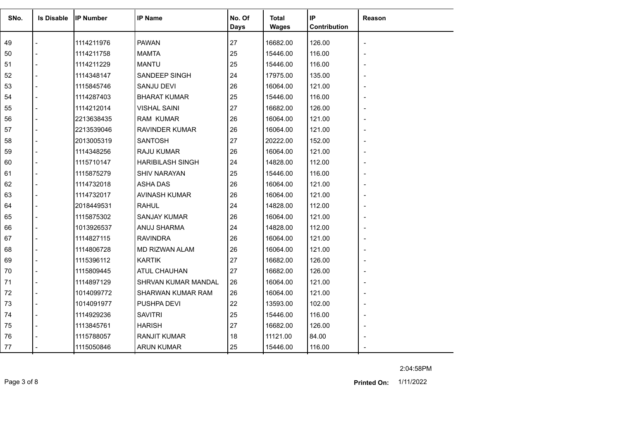| SNo. | <b>Is Disable</b> | <b>IP Number</b> | <b>IP Name</b>          | No. Of<br><b>Days</b> | Total<br><b>Wages</b> | IP<br>Contribution | Reason         |
|------|-------------------|------------------|-------------------------|-----------------------|-----------------------|--------------------|----------------|
| 49   |                   | 1114211976       | <b>PAWAN</b>            | 27                    | 16682.00              | 126.00             |                |
| 50   |                   | 1114211758       | <b>MAMTA</b>            | 25                    | 15446.00              | 116.00             |                |
| 51   |                   | 1114211229       | <b>MANTU</b>            | 25                    | 15446.00              | 116.00             |                |
| 52   |                   | 1114348147       | SANDEEP SINGH           | 24                    | 17975.00              | 135.00             |                |
| 53   |                   | 1115845746       | <b>SANJU DEVI</b>       | 26                    | 16064.00              | 121.00             |                |
| 54   |                   | 1114287403       | <b>BHARAT KUMAR</b>     | 25                    | 15446.00              | 116.00             |                |
| 55   |                   | 1114212014       | <b>VISHAL SAINI</b>     | 27                    | 16682.00              | 126.00             |                |
| 56   |                   | 2213638435       | <b>RAM KUMAR</b>        | 26                    | 16064.00              | 121.00             |                |
| 57   |                   | 2213539046       | <b>RAVINDER KUMAR</b>   | 26                    | 16064.00              | 121.00             |                |
| 58   |                   | 2013005319       | <b>SANTOSH</b>          | 27                    | 20222.00              | 152.00             |                |
| 59   |                   | 1114348256       | <b>RAJU KUMAR</b>       | 26                    | 16064.00              | 121.00             |                |
| 60   |                   | 1115710147       | <b>HARIBILASH SINGH</b> | 24                    | 14828.00              | 112.00             |                |
| 61   |                   | 1115875279       | <b>SHIV NARAYAN</b>     | 25                    | 15446.00              | 116.00             |                |
| 62   |                   | 1114732018       | ASHA DAS                | 26                    | 16064.00              | 121.00             |                |
| 63   |                   | 1114732017       | AVINASH KUMAR           | 26                    | 16064.00              | 121.00             |                |
| 64   |                   | 2018449531       | <b>RAHUL</b>            | 24                    | 14828.00              | 112.00             |                |
| 65   |                   | 1115875302       | <b>SANJAY KUMAR</b>     | 26                    | 16064.00              | 121.00             |                |
| 66   |                   | 1013926537       | ANUJ SHARMA             | 24                    | 14828.00              | 112.00             |                |
| 67   |                   | 1114827115       | <b>RAVINDRA</b>         | 26                    | 16064.00              | 121.00             |                |
| 68   |                   | 1114806728       | <b>MD RIZWAN ALAM</b>   | 26                    | 16064.00              | 121.00             |                |
| 69   |                   | 1115396112       | <b>KARTIK</b>           | 27                    | 16682.00              | 126.00             |                |
| 70   |                   | 1115809445       | <b>ATUL CHAUHAN</b>     | 27                    | 16682.00              | 126.00             |                |
| 71   |                   | 1114897129       | SHRVAN KUMAR MANDAL     | 26                    | 16064.00              | 121.00             |                |
| 72   |                   | 1014099772       | SHARWAN KUMAR RAM       | 26                    | 16064.00              | 121.00             |                |
| 73   |                   | 1014091977       | PUSHPA DEVI             | 22                    | 13593.00              | 102.00             |                |
| 74   |                   | 1114929236       | <b>SAVITRI</b>          | 25                    | 15446.00              | 116.00             | $\blacksquare$ |
| 75   |                   | 1113845761       | <b>HARISH</b>           | 27                    | 16682.00              | 126.00             |                |
| 76   |                   | 1115788057       | <b>RANJIT KUMAR</b>     | 18                    | 11121.00              | 84.00              |                |
| 77   |                   | 1115050846       | <b>ARUN KUMAR</b>       | 25                    | 15446.00              | 116.00             |                |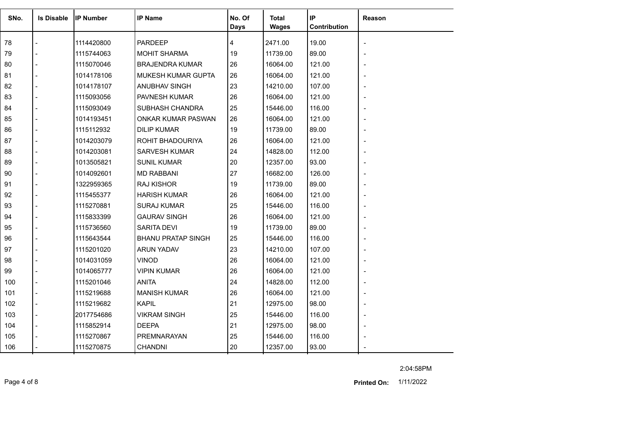| SNo. | <b>Is Disable</b> | <b>IP Number</b> | <b>IP Name</b>            | No. Of<br><b>Days</b> | <b>Total</b><br><b>Wages</b> | IP<br>Contribution | Reason |
|------|-------------------|------------------|---------------------------|-----------------------|------------------------------|--------------------|--------|
| 78   |                   | 1114420800       | <b>PARDEEP</b>            | 4                     | 2471.00                      | 19.00              |        |
| 79   |                   | 1115744063       | <b>MOHIT SHARMA</b>       | 19                    | 11739.00                     | 89.00              |        |
| 80   |                   | 1115070046       | <b>BRAJENDRA KUMAR</b>    | 26                    | 16064.00                     | 121.00             |        |
| 81   |                   | 1014178106       | MUKESH KUMAR GUPTA        | 26                    | 16064.00                     | 121.00             |        |
| 82   |                   | 1014178107       | ANUBHAV SINGH             | 23                    | 14210.00                     | 107.00             |        |
| 83   |                   | 1115093056       | <b>PAVNESH KUMAR</b>      | 26                    | 16064.00                     | 121.00             |        |
| 84   |                   | 1115093049       | SUBHASH CHANDRA           | 25                    | 15446.00                     | 116.00             |        |
| 85   |                   | 1014193451       | ONKAR KUMAR PASWAN        | 26                    | 16064.00                     | 121.00             |        |
| 86   |                   | 1115112932       | <b>DILIP KUMAR</b>        | 19                    | 11739.00                     | 89.00              |        |
| 87   |                   | 1014203079       | ROHIT BHADOURIYA          | 26                    | 16064.00                     | 121.00             |        |
| 88   |                   | 1014203081       | <b>SARVESH KUMAR</b>      | 24                    | 14828.00                     | 112.00             |        |
| 89   |                   | 1013505821       | <b>SUNIL KUMAR</b>        | 20                    | 12357.00                     | 93.00              |        |
| 90   |                   | 1014092601       | <b>MD RABBANI</b>         | 27                    | 16682.00                     | 126.00             |        |
| 91   |                   | 1322959365       | <b>RAJ KISHOR</b>         | 19                    | 11739.00                     | 89.00              |        |
| 92   |                   | 1115455377       | <b>HARISH KUMAR</b>       | 26                    | 16064.00                     | 121.00             |        |
| 93   |                   | 1115270881       | <b>SURAJ KUMAR</b>        | 25                    | 15446.00                     | 116.00             |        |
| 94   |                   | 1115833399       | <b>GAURAV SINGH</b>       | 26                    | 16064.00                     | 121.00             |        |
| 95   |                   | 1115736560       | <b>SARITA DEVI</b>        | 19                    | 11739.00                     | 89.00              |        |
| 96   |                   | 1115643544       | <b>BHANU PRATAP SINGH</b> | 25                    | 15446.00                     | 116.00             |        |
| 97   |                   | 1115201020       | <b>ARUN YADAV</b>         | 23                    | 14210.00                     | 107.00             |        |
| 98   |                   | 1014031059       | <b>VINOD</b>              | 26                    | 16064.00                     | 121.00             |        |
| 99   |                   | 1014065777       | <b>VIPIN KUMAR</b>        | 26                    | 16064.00                     | 121.00             |        |
| 100  |                   | 1115201046       | <b>ANITA</b>              | 24                    | 14828.00                     | 112.00             |        |
| 101  |                   | 1115219688       | <b>MANISH KUMAR</b>       | 26                    | 16064.00                     | 121.00             |        |
| 102  |                   | 1115219682       | <b>KAPIL</b>              | 21                    | 12975.00                     | 98.00              |        |
| 103  |                   | 2017754686       | <b>VIKRAM SINGH</b>       | 25                    | 15446.00                     | 116.00             |        |
| 104  |                   | 1115852914       | <b>DEEPA</b>              | 21                    | 12975.00                     | 98.00              |        |
| 105  |                   | 1115270867       | PREMNARAYAN               | 25                    | 15446.00                     | 116.00             |        |
| 106  |                   | 1115270875       | <b>CHANDNI</b>            | 20                    | 12357.00                     | 93.00              |        |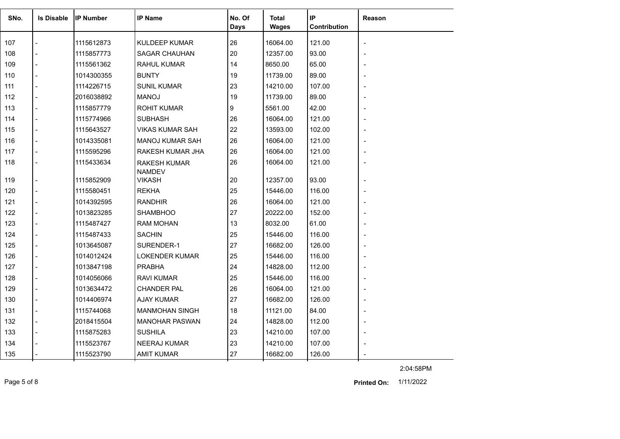| SNo. | <b>Is Disable</b> | <b>IP Number</b> | <b>IP Name</b>                 | No. Of<br><b>Days</b> | Total<br>Wages | IP<br>Contribution | <b>Reason</b>            |
|------|-------------------|------------------|--------------------------------|-----------------------|----------------|--------------------|--------------------------|
| 107  |                   | 1115612873       | <b>KULDEEP KUMAR</b>           | 26                    | 16064.00       | 121.00             | $\overline{\phantom{a}}$ |
| 108  |                   | 1115857773       | <b>SAGAR CHAUHAN</b>           | 20                    | 12357.00       | 93.00              |                          |
| 109  |                   | 1115561362       | <b>RAHUL KUMAR</b>             | 14                    | 8650.00        | 65.00              |                          |
| 110  |                   | 1014300355       | <b>BUNTY</b>                   | 19                    | 11739.00       | 89.00              |                          |
| 111  |                   | 1114226715       | <b>SUNIL KUMAR</b>             | 23                    | 14210.00       | 107.00             |                          |
| 112  |                   | 2016038892       | <b>MANOJ</b>                   | 19                    | 11739.00       | 89.00              |                          |
| 113  |                   | 1115857779       | <b>ROHIT KUMAR</b>             | 9                     | 5561.00        | 42.00              |                          |
| 114  |                   | 1115774966       | <b>SUBHASH</b>                 | 26                    | 16064.00       | 121.00             |                          |
| 115  |                   | 1115643527       | <b>VIKAS KUMAR SAH</b>         | 22                    | 13593.00       | 102.00             |                          |
| 116  |                   | 1014335081       | MANOJ KUMAR SAH                | 26                    | 16064.00       | 121.00             |                          |
| 117  |                   | 1115595296       | RAKESH KUMAR JHA               | 26                    | 16064.00       | 121.00             |                          |
| 118  |                   | 1115433634       | <b>RAKESH KUMAR</b>            | 26                    | 16064.00       | 121.00             |                          |
| 119  |                   | 1115852909       | <b>NAMDEV</b><br><b>VIKASH</b> | 20                    | 12357.00       | 93.00              |                          |
| 120  |                   | 1115580451       | <b>REKHA</b>                   | 25                    | 15446.00       | 116.00             |                          |
| 121  |                   | 1014392595       | <b>RANDHIR</b>                 | 26                    | 16064.00       | 121.00             |                          |
| 122  |                   | 1013823285       | <b>SHAMBHOO</b>                | 27                    | 20222.00       | 152.00             |                          |
| 123  |                   | 1115487427       | <b>RAM MOHAN</b>               | 13                    | 8032.00        | 61.00              |                          |
| 124  |                   | 1115487433       | <b>SACHIN</b>                  | 25                    | 15446.00       | 116.00             |                          |
| 125  |                   | 1013645087       | SURENDER-1                     | 27                    | 16682.00       | 126.00             |                          |
| 126  |                   | 1014012424       | <b>LOKENDER KUMAR</b>          | 25                    | 15446.00       | 116.00             | $\blacksquare$           |
| 127  |                   | 1013847198       | <b>PRABHA</b>                  | 24                    | 14828.00       | 112.00             |                          |
| 128  |                   | 1014056066       | <b>RAVI KUMAR</b>              | 25                    | 15446.00       | 116.00             |                          |
| 129  |                   | 1013634472       | <b>CHANDER PAL</b>             | 26                    | 16064.00       | 121.00             |                          |
| 130  |                   | 1014406974       | <b>AJAY KUMAR</b>              | 27                    | 16682.00       | 126.00             |                          |
| 131  |                   | 1115744068       | <b>MANMOHAN SINGH</b>          | 18                    | 11121.00       | 84.00              |                          |
| 132  |                   | 2018415504       | <b>MANOHAR PASWAN</b>          | 24                    | 14828.00       | 112.00             |                          |
| 133  |                   | 1115875283       | <b>SUSHILA</b>                 | 23                    | 14210.00       | 107.00             |                          |
| 134  |                   | 1115523767       | <b>NEERAJ KUMAR</b>            | 23                    | 14210.00       | 107.00             |                          |
| 135  |                   | 1115523790       | <b>AMIT KUMAR</b>              | 27                    | 16682.00       | 126.00             |                          |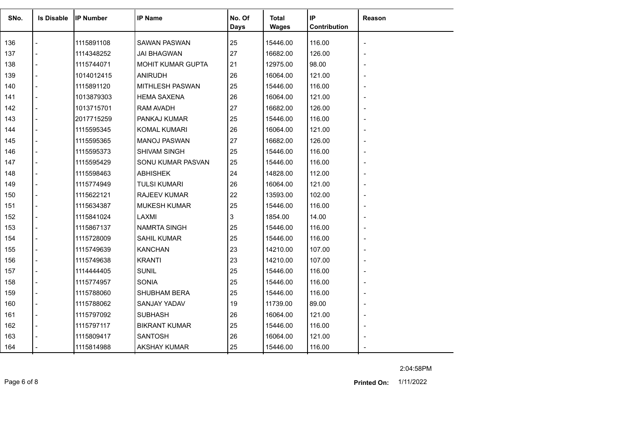| SNo. | <b>Is Disable</b> | <b>IP Number</b> | <b>IP Name</b>       | No. Of<br><b>Days</b> | Total<br><b>Wages</b> | IP<br>Contribution | Reason |
|------|-------------------|------------------|----------------------|-----------------------|-----------------------|--------------------|--------|
| 136  |                   | 1115891108       | <b>SAWAN PASWAN</b>  | 25                    | 15446.00              | 116.00             |        |
| 137  |                   | 1114348252       | <b>JAI BHAGWAN</b>   | 27                    | 16682.00              | 126.00             |        |
| 138  |                   | 1115744071       | MOHIT KUMAR GUPTA    | 21                    | 12975.00              | 98.00              |        |
| 139  |                   | 1014012415       | <b>ANIRUDH</b>       | 26                    | 16064.00              | 121.00             |        |
| 140  |                   | 1115891120       | MITHLESH PASWAN      | 25                    | 15446.00              | 116.00             |        |
| 141  |                   | 1013879303       | <b>HEMA SAXENA</b>   | 26                    | 16064.00              | 121.00             |        |
| 142  |                   | 1013715701       | <b>RAM AVADH</b>     | 27                    | 16682.00              | 126.00             |        |
| 143  | $\overline{a}$    | 2017715259       | PANKAJ KUMAR         | 25                    | 15446.00              | 116.00             |        |
| 144  |                   | 1115595345       | <b>KOMAL KUMARI</b>  | 26                    | 16064.00              | 121.00             |        |
| 145  |                   | 1115595365       | <b>MANOJ PASWAN</b>  | 27                    | 16682.00              | 126.00             |        |
| 146  |                   | 1115595373       | SHIVAM SINGH         | 25                    | 15446.00              | 116.00             |        |
| 147  |                   | 1115595429       | SONU KUMAR PASVAN    | 25                    | 15446.00              | 116.00             |        |
| 148  |                   | 1115598463       | <b>ABHISHEK</b>      | 24                    | 14828.00              | 112.00             |        |
| 149  |                   | 1115774949       | <b>TULSI KUMARI</b>  | 26                    | 16064.00              | 121.00             |        |
| 150  |                   | 1115622121       | <b>RAJEEV KUMAR</b>  | 22                    | 13593.00              | 102.00             |        |
| 151  |                   | 1115634387       | <b>MUKESH KUMAR</b>  | 25                    | 15446.00              | 116.00             |        |
| 152  |                   | 1115841024       | LAXMI                | 3                     | 1854.00               | 14.00              |        |
| 153  |                   | 1115867137       | <b>NAMRTA SINGH</b>  | 25                    | 15446.00              | 116.00             |        |
| 154  |                   | 1115728009       | <b>SAHIL KUMAR</b>   | 25                    | 15446.00              | 116.00             |        |
| 155  |                   | 1115749639       | <b>KANCHAN</b>       | 23                    | 14210.00              | 107.00             |        |
| 156  |                   | 1115749638       | <b>KRANTI</b>        | 23                    | 14210.00              | 107.00             |        |
| 157  |                   | 1114444405       | <b>SUNIL</b>         | 25                    | 15446.00              | 116.00             |        |
| 158  |                   | 1115774957       | <b>SONIA</b>         | 25                    | 15446.00              | 116.00             |        |
| 159  |                   | 1115788060       | <b>SHUBHAM BERA</b>  | 25                    | 15446.00              | 116.00             |        |
| 160  |                   | 1115788062       | SANJAY YADAV         | 19                    | 11739.00              | 89.00              |        |
| 161  | $\overline{a}$    | 1115797092       | <b>SUBHASH</b>       | 26                    | 16064.00              | 121.00             |        |
| 162  |                   | 1115797117       | <b>BIKRANT KUMAR</b> | 25                    | 15446.00              | 116.00             |        |
| 163  |                   | 1115809417       | <b>SANTOSH</b>       | 26                    | 16064.00              | 121.00             |        |
| 164  |                   | 1115814988       | <b>AKSHAY KUMAR</b>  | 25                    | 15446.00              | 116.00             |        |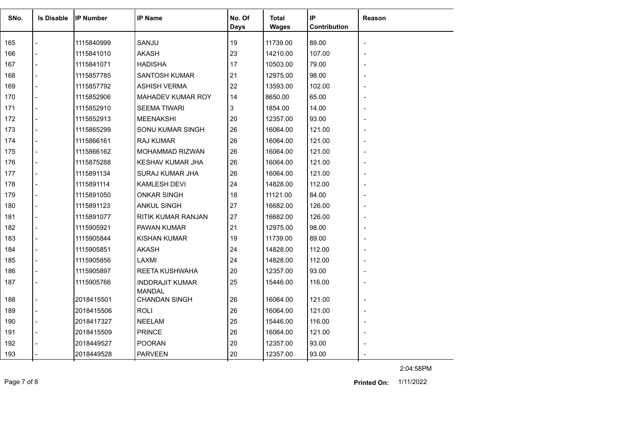| SNo. | <b>Is Disable</b> | <b>IP Number</b> | <b>IP Name</b>                          | No. Of | Total        | IP           | <b>Reason</b>            |
|------|-------------------|------------------|-----------------------------------------|--------|--------------|--------------|--------------------------|
|      |                   |                  |                                         | Days   | <b>Wages</b> | Contribution |                          |
| 165  |                   | 1115840999       | SANJU                                   | 19     | 11739.00     | 89.00        |                          |
| 166  |                   | 1115841010       | <b>AKASH</b>                            | 23     | 14210.00     | 107.00       |                          |
| 167  |                   | 1115841071       | <b>HADISHA</b>                          | 17     | 10503.00     | 79.00        |                          |
| 168  |                   | 1115857785       | <b>SANTOSH KUMAR</b>                    | 21     | 12975.00     | 98.00        |                          |
| 169  |                   | 1115857792       | <b>ASHISH VERMA</b>                     | 22     | 13593.00     | 102.00       |                          |
| 170  |                   | 1115852906       | MAHADEV KUMAR ROY                       | 14     | 8650.00      | 65.00        |                          |
| 171  |                   | 1115852910       | <b>SEEMA TIWARI</b>                     | 3      | 1854.00      | 14.00        |                          |
| 172  |                   | 1115852913       | <b>MEENAKSHI</b>                        | 20     | 12357.00     | 93.00        |                          |
| 173  |                   | 1115865299       | SONU KUMAR SINGH                        | 26     | 16064.00     | 121.00       |                          |
| 174  |                   | 1115866161       | <b>RAJ KUMAR</b>                        | 26     | 16064.00     | 121.00       |                          |
| 175  |                   | 1115866162       | MOHAMMAD RIZWAN                         | 26     | 16064.00     | 121.00       |                          |
| 176  |                   | 1115875288       | KESHAV KUMAR JHA                        | 26     | 16064.00     | 121.00       |                          |
| 177  |                   | 1115891134       | SURAJ KUMAR JHA                         | 26     | 16064.00     | 121.00       |                          |
| 178  |                   | 1115891114       | <b>KAMLESH DEVI</b>                     | 24     | 14828.00     | 112.00       |                          |
| 179  |                   | 1115891050       | <b>ONKAR SINGH</b>                      | 18     | 11121.00     | 84.00        |                          |
| 180  |                   | 1115891123       | <b>ANKUL SINGH</b>                      | 27     | 16682.00     | 126.00       | $\overline{a}$           |
| 181  |                   | 1115891077       | <b>RITIK KUMAR RANJAN</b>               | 27     | 16682.00     | 126.00       |                          |
| 182  |                   | 1115905921       | PAWAN KUMAR                             | 21     | 12975.00     | 98.00        |                          |
| 183  |                   | 1115905844       | <b>KISHAN KUMAR</b>                     | 19     | 11739.00     | 89.00        |                          |
| 184  |                   | 1115905851       | <b>AKASH</b>                            | 24     | 14828.00     | 112.00       |                          |
| 185  |                   | 1115905856       | LAXMI                                   | 24     | 14828.00     | 112.00       |                          |
| 186  |                   | 1115905897       | REETA KUSHWAHA                          | 20     | 12357.00     | 93.00        |                          |
| 187  |                   | 1115905766       | <b>INDDRAJIT KUMAR</b><br><b>MANDAL</b> | 25     | 15446.00     | 116.00       |                          |
| 188  |                   | 2018415501       | <b>CHANDAN SINGH</b>                    | 26     | 16064.00     | 121.00       |                          |
| 189  |                   | 2018415506       | <b>ROLI</b>                             | 26     | 16064.00     | 121.00       |                          |
| 190  |                   | 2018417327       | <b>NEELAM</b>                           | 25     | 15446.00     | 116.00       | $\overline{\phantom{a}}$ |
| 191  |                   | 2018415509       | <b>PRINCE</b>                           | 26     | 16064.00     | 121.00       |                          |
| 192  |                   | 2018449527       | <b>POORAN</b>                           | 20     | 12357.00     | 93.00        |                          |
| 193  |                   | 2018449528       | <b>PARVEEN</b>                          | 20     | 12357.00     | 93.00        |                          |

Page 7 of 8 1/11/2022 **Printed On:**